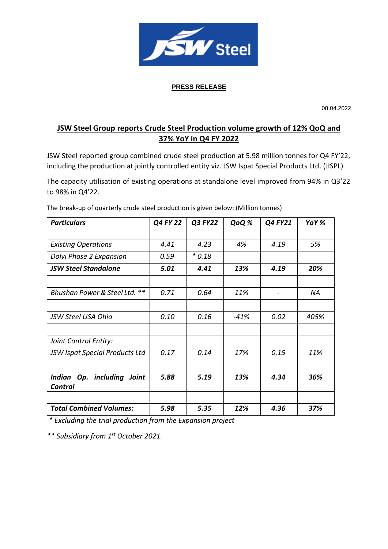

# **PRESS RELEASE**

08.04.2022

# **JSW Steel Group reports Crude Steel Production volume growth of 12% QoQ and 37% YoY in Q4 FY 2022**

JSW Steel reported group combined crude steel production at 5.98 million tonnes for Q4 FY'22, including the production at jointly controlled entity viz. JSW Ispat Special Products Ltd. (JISPL)

The capacity utilisation of existing operations at standalone level improved from 94% in Q3'22 to 98% in Q4'22.

| <b>Particulars</b>                    | Q4 FY 22 | Q3 FY22 | QoQ % | Q4 FY21 | YoY % |
|---------------------------------------|----------|---------|-------|---------|-------|
|                                       |          |         |       |         |       |
| <b>Existing Operations</b>            | 4.41     | 4.23    | 4%    | 4.19    | 5%    |
| Dolvi Phase 2 Expansion               | 0.59     | $*0.18$ |       |         |       |
| <b>JSW Steel Standalone</b>           | 5.01     | 4.41    | 13%   | 4.19    | 20%   |
|                                       |          |         |       |         |       |
| **<br>Bhushan Power & Steel Ltd.      | 0.71     | 0.64    | 11%   | -       | NA    |
|                                       |          |         |       |         |       |
| JSW Steel USA Ohio                    | 0.10     | 0.16    | -41%  | 0.02    | 405%  |
|                                       |          |         |       |         |       |
| Joint Control Entity:                 |          |         |       |         |       |
| <b>JSW Ispat Special Products Ltd</b> | 0.17     | 0.14    | 17%   | 0.15    | 11%   |
|                                       |          |         |       |         |       |
| Indian Op. including Joint            | 5.88     | 5.19    | 13%   | 4.34    | 36%   |
| <b>Control</b>                        |          |         |       |         |       |
|                                       |          |         |       |         |       |
| <b>Total Combined Volumes:</b>        | 5.98     | 5.35    | 12%   | 4.36    | 37%   |

The break-up of quarterly crude steel production is given below: (Million tonnes)

*\* Excluding the trial production from the Expansion project*

*\*\* Subsidiary from 1 st October 2021.*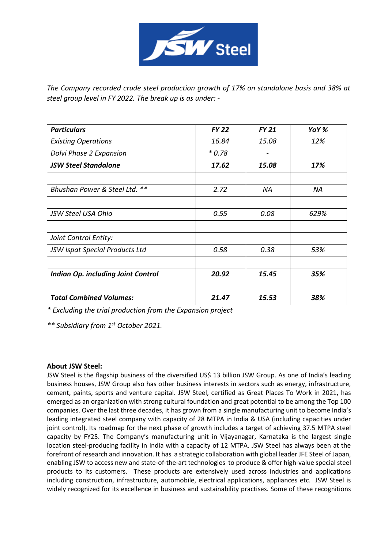

*The Company recorded crude steel production growth of 17% on standalone basis and 38% at steel group level in FY 2022. The break up is as under: -*

| <b>Particulars</b>                        | <b>FY 22</b> | <b>FY 21</b> | YoY% |
|-------------------------------------------|--------------|--------------|------|
| <b>Existing Operations</b>                | 16.84        | 15.08        | 12%  |
| Dolvi Phase 2 Expansion                   | $*0.78$      |              |      |
| <b>JSW Steel Standalone</b>               | 17.62        | 15.08        | 17%  |
| Bhushan Power & Steel Ltd. **             | 2.72         | ΝA           | ΝA   |
| <b>JSW Steel USA Ohio</b>                 | 0.55         | 0.08         | 629% |
| Joint Control Entity:                     |              |              |      |
| JSW Ispat Special Products Ltd            | 0.58         | 0.38         | 53%  |
| <b>Indian Op. including Joint Control</b> | 20.92        | 15.45        | 35%  |
| <b>Total Combined Volumes:</b>            | 21.47        | 15.53        | 38%  |

*\* Excluding the trial production from the Expansion project*

*\*\* Subsidiary from 1 st October 2021.*

## **About JSW Steel:**

JSW Steel is the flagship business of the diversified US\$ 13 billion JSW Group. As one of India's leading business houses, JSW Group also has other business interests in sectors such as energy, infrastructure, cement, paints, sports and venture capital. JSW Steel, certified as Great Places To Work in 2021, has emerged as an organization with strong cultural foundation and great potential to be among the Top 100 companies. Over the last three decades, it has grown from a single manufacturing unit to become India's leading integrated steel company with capacity of 28 MTPA in India & USA (including capacities under joint control). Its roadmap for the next phase of growth includes a target of achieving 37.5 MTPA steel capacity by FY25. The Company's manufacturing unit in Vijayanagar, Karnataka is the largest single location steel-producing facility in India with a capacity of 12 MTPA. JSW Steel has always been at the forefront of research and innovation. It has a strategic collaboration with global leader JFE Steel of Japan, enabling JSW to access new and state-of-the-art technologies to produce & offer high-value special steel products to its customers. These products are extensively used across industries and applications including construction, infrastructure, automobile, electrical applications, appliances etc. JSW Steel is widely recognized for its excellence in business and sustainability practises. Some of these recognitions